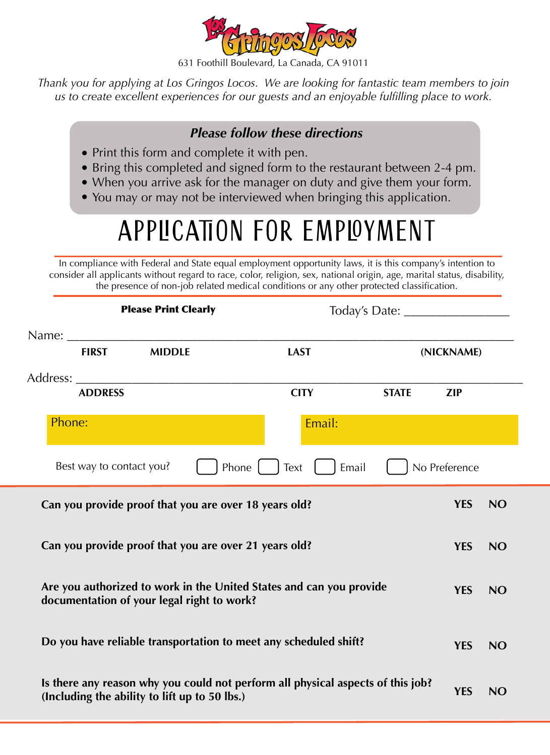

631 Foothill Boulevard, La Canada, CA 91011

*Thank you for applying at Los Gringos Locos. We are looking for fantastic team members to join us to create excellent experiences for our guests and an enjoyable fulfilling place to work.* 

## *Please follow these directions*

- Print this form and complete it with pen.
- Bring this completed and signed form to the restaurant between 2-4 pm.
- When you arrive ask for the manager on duty and give them your form.
- You may or may not be interviewed when bringing this application.

## APPLICATION FOR EMPLOYMENT

In compliance with Federal and State equal employment opportunity laws, it is this company's intention to consider all applicants without regard to race, color, religion, sex, national origin, age, marital status, disability, the presence of non-job related medical conditions or any other protected classification.

| <b>Please Print Clearly</b>                                                                                                      |                          |                                                       |                                                                     |              |               |           |  |
|----------------------------------------------------------------------------------------------------------------------------------|--------------------------|-------------------------------------------------------|---------------------------------------------------------------------|--------------|---------------|-----------|--|
|                                                                                                                                  | <b>FIRST</b>             | <b>MIDDLE</b>                                         | <b>LAST</b>                                                         |              | (NICKNAME)    |           |  |
| Address: ______                                                                                                                  | <b>ADDRESS</b>           |                                                       | <b>CITY</b>                                                         | <b>STATE</b> | <b>ZIP</b>    |           |  |
| Phone:                                                                                                                           |                          |                                                       | Email:                                                              |              |               |           |  |
|                                                                                                                                  | Best way to contact you? |                                                       | Phone $\vert \vert$<br>Email<br>Text                                |              | No Preference |           |  |
|                                                                                                                                  |                          | Can you provide proof that you are over 18 years old? |                                                                     |              | <b>YES</b>    | <b>NO</b> |  |
|                                                                                                                                  |                          | Can you provide proof that you are over 21 years old? |                                                                     |              | <b>YES</b>    | <b>NO</b> |  |
|                                                                                                                                  |                          | documentation of your legal right to work?            | Are you authorized to work in the United States and can you provide |              | <b>YES</b>    | <b>NO</b> |  |
|                                                                                                                                  |                          |                                                       | Do you have reliable transportation to meet any scheduled shift?    |              | <b>YES</b>    | <b>NO</b> |  |
| Is there any reason why you could not perform all physical aspects of this job?<br>(Including the ability to lift up to 50 lbs.) | <b>YES</b>               | <b>NO</b>                                             |                                                                     |              |               |           |  |